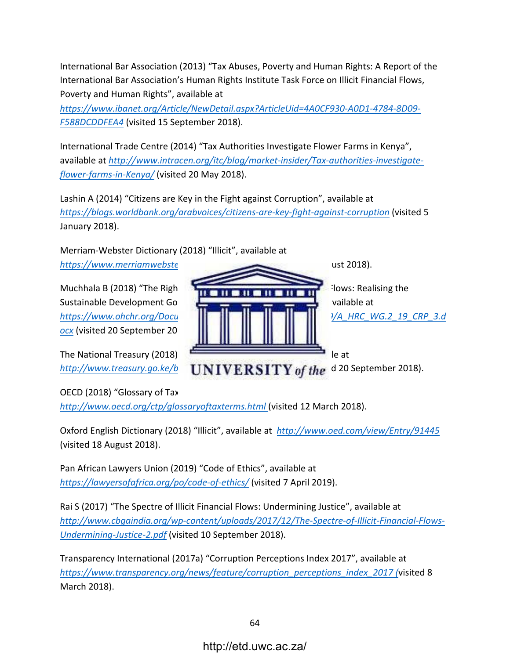International Bar Association (2013) "Tax Abuses, Poverty and Human Rights: A Report of the International Bar Association's Human Rights Institute Task Force on Illicit Financial Flows, Poverty and Human Rights", available at

*https://www.ibanet.org/Article/NewDetail.aspx?ArticleUid=4A0CF930-A0D1-4784-8D09-* F588DCDDFEA4 (visited 15 September 2018).

International Trade Centre (2014) "Tax Authorities Investigate Flower Farms in Kenya", available at http://www.intracen.org/itc/blog/market-insider/Tax-authorities-investigate*flower-farms-in-Kenya/* (visited 20 May 2018). 

Lashin A (2014) "Citizens are Key in the Fight against Corruption", available at *https://blogs.worldbank.org/arabvoices/citizens-are-key-fight-against-corruption* (visited 5 January 2018).

Merriam-Webster Dictionary (2018) "Illicit", available at *https://www.merriamwebster.com/dictionary/illicit* (visited 18 August 2018). 

Muchhala B (2018) "The Right to Development and Illicit Financial Flows: Realising the Sustainable Development Goals and Financing for Development", available at *https://www.ohchr.org/Documents/Issues/Development/Session19/A\_HRC\_WG.2\_19\_CRP\_3.d ocx* (visited 20 September 2018). 

The National Treasury (2018) "Budget Statement 2018-19", available at http://www.treasury.go.ke/budget-statement-2018-19.html (visited 20 September 2018).

OECD (2018) "Glossary of Tax Terms", available at *http://www.oecd.org/ctp/glossaryoftaxterms.html* (visited 12 March 2018). 

Oxford English Dictionary (2018) "Illicit", available at http://www.oed.com/view/Entry/91445 (visited 18 August 2018).

Pan African Lawyers Union (2019) "Code of Ethics", available at *https://lawyersofafrica.org/po/code-of-ethics/* (visited 7 April 2019). 

Rai S (2017) "The Spectre of Illicit Financial Flows: Undermining Justice", available at *http://www.cbgaindia.org/wp-content/uploads/2017/12/The-Spectre-of-Illicit-Financial-Flows-Undermining-Justice-2.pdf* (visited 10 September 2018).

Transparency International (2017a) "Corruption Perceptions Index 2017", available at *https://www.transparency.org/news/feature/corruption\_perceptions\_index\_2017 (*visited 8 March 2018).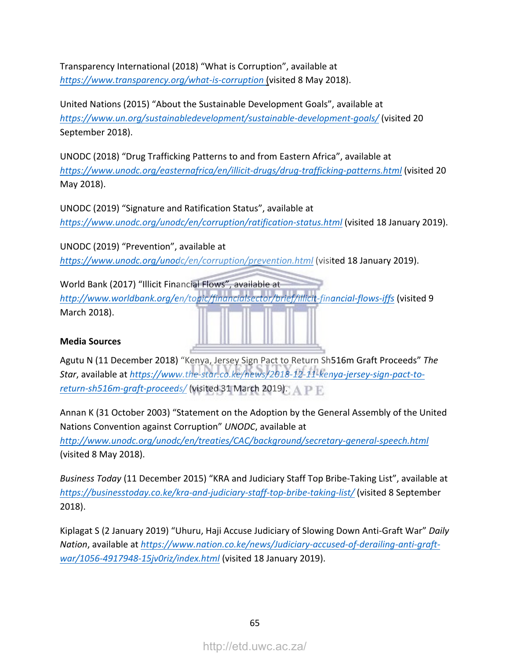Transparency International (2018) "What is Corruption", available at *https://www.transparency.org/what-is-corruption* (visited 8 May 2018). 

United Nations (2015) "About the Sustainable Development Goals", available at *https://www.un.org/sustainabledevelopment/sustainable-development-goals/* (visited 20 September 2018).

UNODC (2018) "Drug Trafficking Patterns to and from Eastern Africa", available at *https://www.unodc.org/easternafrica/en/illicit-drugs/drug-trafficking-patterns.html* (visited 20 May 2018). 

UNODC (2019) "Signature and Ratification Status", available at https://www.unodc.org/unodc/en/corruption/ratification-status.html (visited 18 January 2019).

UNODC (2019) "Prevention", available at https://www.unodc.org/unodc/en/corruption/prevention.html (visited 18 January 2019).

World Bank (2017) "Illicit Financial Flows", available at http://www.worldbank.org/en/topic/financialsector/brief/illicit-financial-flows-iffs (visited 9 March 2018). 

## **Media Sources**

Agutu N (11 December 2018) "Kenya, Jersey Sign Pact to Return Sh516m Graft Proceeds" The Star, available at https://www.the-star.co.ke/news/2018-12-11-kenya-jersey-sign-pact-to*return-sh516m-graft-proceeds/* (visited 31 March 2019).

Annan K (31 October 2003) "Statement on the Adoption by the General Assembly of the United Nations Convention against Corruption" *UNODC*, available at *http://www.unodc.org/unodc/en/treaties/CAC/background/secretary-general-speech.html* (visited 8 May 2018). 

*Business Today* (11 December 2015) "KRA and Judiciary Staff Top Bribe-Taking List", available at *https://businesstoday.co.ke/kra-and-judiciary-staff-top-bribe-taking-list/* (visited 8 September 2018).

Kiplagat S (2 January 2019) "Uhuru, Haji Accuse Judiciary of Slowing Down Anti-Graft War" Daily Nation, available at https://www.nation.co.ke/news/Judiciary-accused-of-derailing-anti-graft*war/1056-4917948-15jv0riz/index.html* (visited 18 January 2019).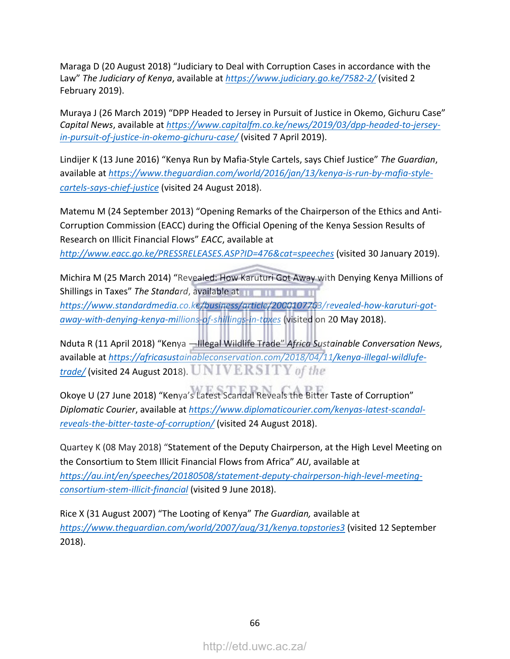Maraga D (20 August 2018) "Judiciary to Deal with Corruption Cases in accordance with the Law" The Judiciary of Kenya, available at https://www.judiciary.go.ke/7582-2/ (visited 2 February 2019).

Muraya J (26 March 2019) "DPP Headed to Jersey in Pursuit of Justice in Okemo, Gichuru Case" Capital News, available at https://www.capitalfm.co.ke/news/2019/03/dpp-headed-to-jerseyin-pursuit-of-justice-in-okemo-gichuru-case/ (visited 7 April 2019).

Lindijer K (13 June 2016) "Kenya Run by Mafia-Style Cartels, says Chief Justice" The Guardian, available at https://www.theguardian.com/world/2016/jan/13/kenya-is-run-by-mafia-style*cartels-says-chief-justice* (visited 24 August 2018). 

Matemu M (24 September 2013) "Opening Remarks of the Chairperson of the Ethics and Anti-Corruption Commission (EACC) during the Official Opening of the Kenya Session Results of Research on Illicit Financial Flows" *EACC*, available at http://www.eacc.go.ke/PRESSRELEASES.ASP?ID=476&cat=speeches (visited 30 January 2019).

Michira M (25 March 2014) "Revealed: How Karuturi Got Away with Denying Kenya Millions of Shillings in Taxes" The Standard, available at **the standard** *https://www.standardmedia.co.ke/business/article/2000107763/revealed-how-karuturi-got*away-with-denying-kenya-millions-of-shillings-in-taxes (visited on 20 May 2018).

Nduta R (11 April 2018) "Kenya —Illegal Wildlife Trade" Africa Sustainable Conversation News, available at https://africasustainableconservation.com/2018/04/11/kenya-illegal-wildlufetrade/ (visited 24 August 2018). UNIVERSITY of the

Okoye U (27 June 2018) "Kenya's Latest Scandal Reveals the Bitter Taste of Corruption" Diplomatic Courier, available at https://www.diplomaticourier.com/kenyas-latest-scandal*reveals-the-bitter-taste-of-corruption/* (visited 24 August 2018). 

Quartey K (08 May 2018) "Statement of the Deputy Chairperson, at the High Level Meeting on the Consortium to Stem Illicit Financial Flows from Africa" AU, available at *https://au.int/en/speeches/20180508/statement-deputy-chairperson-high-level-meetingconsortium-stem-illicit-financial* (visited 9 June 2018). 

Rice X (31 August 2007) "The Looting of Kenya" The Guardian, available at *https://www.theguardian.com/world/2007/aug/31/kenya.topstories3* (visited 12 September 2018).